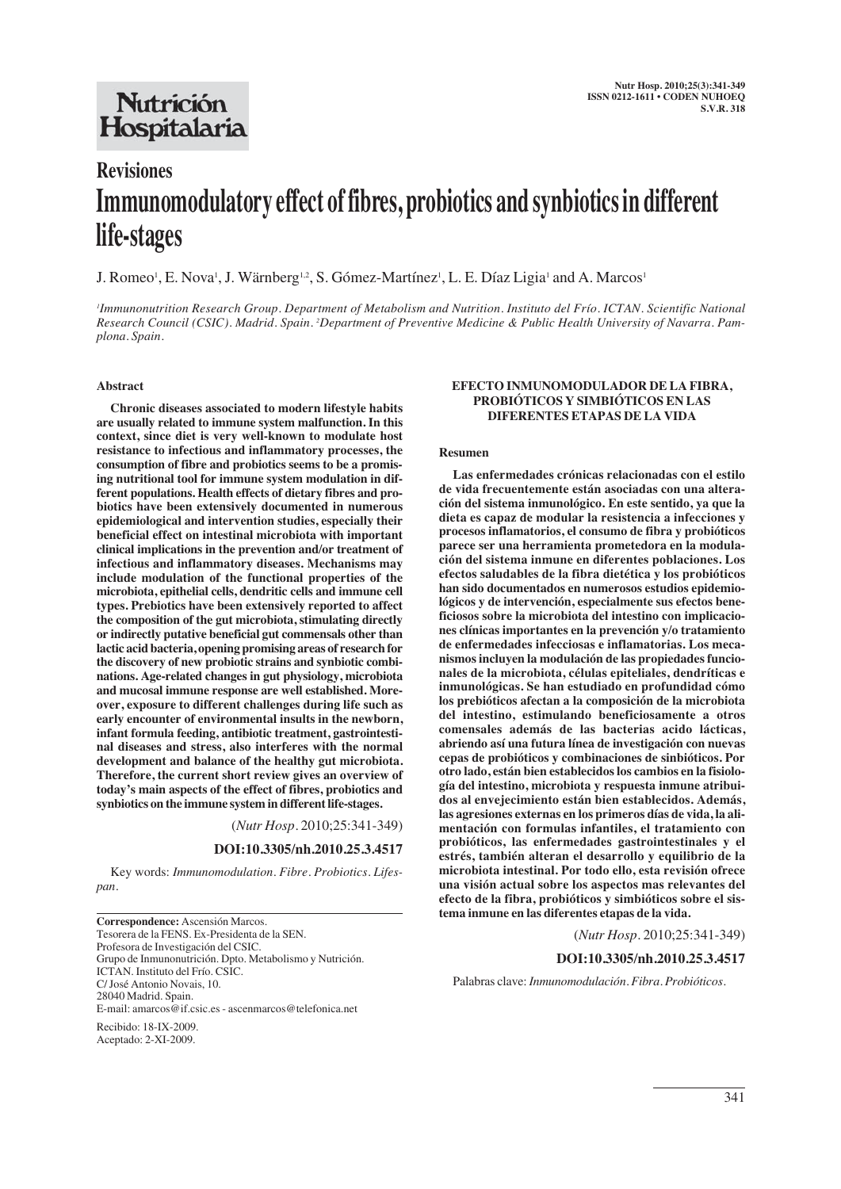## Nutrición Hospitalaria

# **Revisiones Immunomodulatory effect of fibres, probiotics and synbiotics in different life-stages**

J. Romeo<sup>1</sup>, E. Nova<sup>1</sup>, J. Wärnberg<sup>1,2</sup>, S. Gómez-Martínez<sup>1</sup>, L. E. Díaz Ligia<sup>1</sup> and A. Marcos<sup>1</sup>

*1 Immunonutrition Research Group. Department of Metabolism and Nutrition. Instituto del Frío. ICTAN. Scientific National* Research Council (CSIC). Madrid. Spain. <sup>2</sup>Department of Preventive Medicine & Public Health University of Navarra. Pam*plona. Spain.*

#### **Abstract**

**Chronic diseases associated to modern lifestyle habits are usually related to immune system malfunction. In this context, since diet is very well-known to modulate host resistance to infectious and inflammatory processes, the consumption of fibre and probiotics seems to be a promising nutritional tool for immune system modulation in different populations. Health effects of dietary fibres and probiotics have been extensively documented in numerous epidemiological and intervention studies, especially their beneficial effect on intestinal microbiota with important clinical implications in the prevention and/or treatment of infectious and inflammatory diseases. Mechanisms may include modulation of the functional properties of the microbiota, epithelial cells, dendritic cells and immune cell types. Prebiotics have been extensively reported to affect the composition of the gut microbiota, stimulating directly or indirectly putative beneficial gut commensals other than lactic acid bacteria, opening promising areas of research for the discovery of new probiotic strains and synbiotic combinations. Age-related changes in gut physiology, microbiota and mucosal immune response are well established. Moreover, exposure to different challenges during life such as early encounter of environmental insults in the newborn, infant formula feeding, antibiotic treatment, gastrointestinal diseases and stress, also interferes with the normal development and balance of the healthy gut microbiota. Therefore, the current short review gives an overview of today's main aspects of the effect of fibres, probiotics and synbiotics on the immune system in different life-stages.** 

(*Nutr Hosp.* 2010;25:341-349)

#### **DOI:10.3305/nh.2010.25.3.4517**

Key words: *Immunomodulation. Fibre. Probiotics. Lifespan.*

**Correspondence:** Ascensión Marcos. Tesorera de la FENS. Ex-Presidenta de la SEN. Profesora de Investigación del CSIC. Grupo de Inmunonutrición. Dpto. Metabolismo y Nutrición. ICTAN. Instituto del Frío. CSIC. C/ José Antonio Novais, 10. 28040 Madrid. Spain. E-mail: amarcos@if.csic.es - ascenmarcos@telefonica.net

Recibido: 18-IX-2009. Aceptado: 2-XI-2009.

#### **EFECTO INMUNOMODULADOR DE LA FIBRA, PROBIÓTICOS Y SIMBIÓTICOS EN LAS DIFERENTES ETAPAS DE LA VIDA**

#### **Resumen**

**Las enfermedades crónicas relacionadas con el estilo de vida frecuentemente están asociadas con una alteración del sistema inmunológico. En este sentido, ya que la dieta es capaz de modular la resistencia a infecciones y procesos inflamatorios, el consumo de fibra y probióticos parece ser una herramienta prometedora en la modulación del sistema inmune en diferentes poblaciones. Los efectos saludables de la fibra dietética y los probióticos han sido documentados en numerosos estudios epidemiológicos y de intervención, especialmente sus efectos beneficiosos sobre la microbiota del intestino con implicaciones clínicas importantes en la prevención y/o tratamiento de enfermedades infecciosas e inflamatorias. Los mecanismos incluyen la modulación de las propiedades funcionales de la microbiota, células epiteliales, dendríticas e inmunológicas. Se han estudiado en profundidad cómo los prebióticos afectan a la composición de la microbiota del intestino, estimulando beneficiosamente a otros comensales además de las bacterias acido lácticas, abriendo así una futura línea de investigación con nuevas cepas de probióticos y combinaciones de sinbióticos. Por otro lado, están bien establecidos los cambios en la fisiología del intestino, microbiota y respuesta inmune atribuidos al envejecimiento están bien establecidos. Además, las agresiones externas en los primeros días de vida, la alimentación con formulas infantiles, el tratamiento con probióticos, las enfermedades gastrointestinales y el estrés, también alteran el desarrollo y equilibrio de la microbiota intestinal. Por todo ello, esta revisión ofrece una visión actual sobre los aspectos mas relevantes del efecto de la fibra, probióticos y simbióticos sobre el sistema inmune en las diferentes etapas de la vida.**

(*Nutr Hosp.* 2010;25:341-349)

#### **DOI:10.3305/nh.2010.25.3.4517**

Palabras clave: *Inmunomodulación. Fibra. Probióticos.*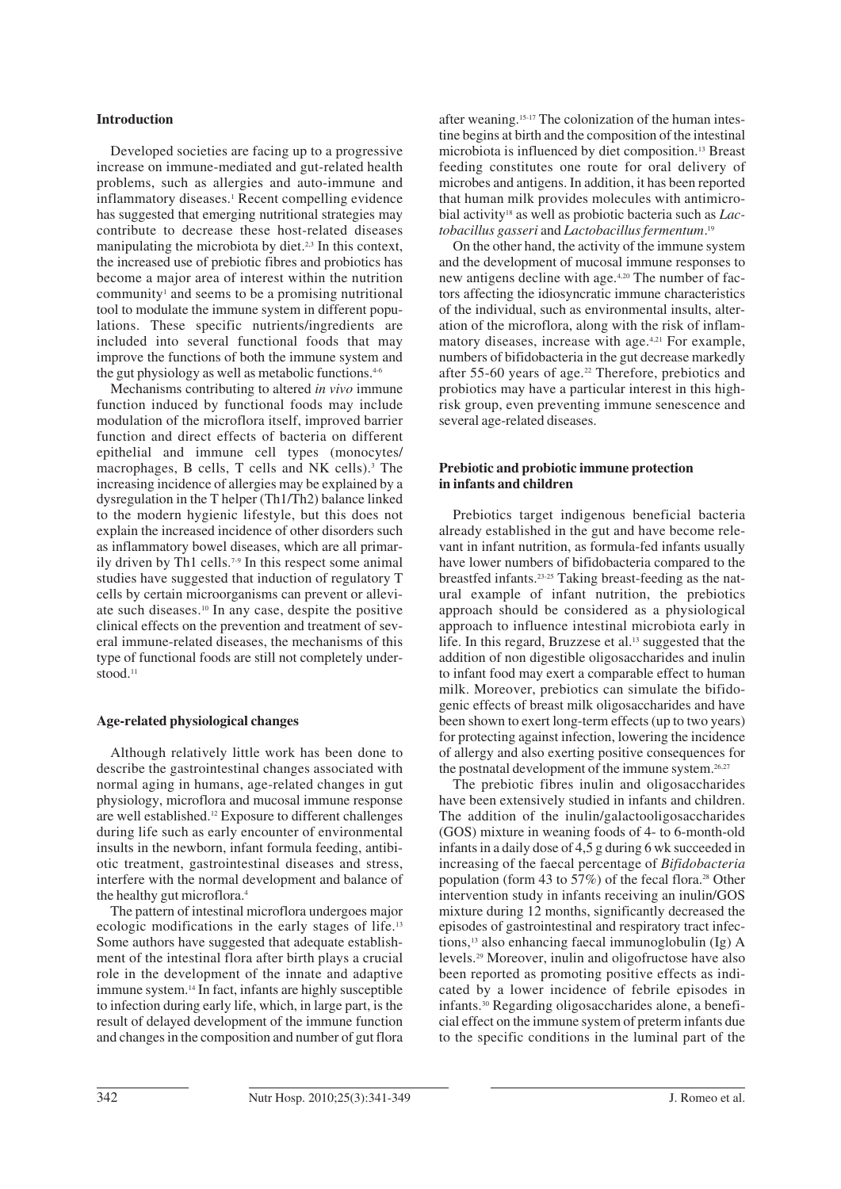## **Introduction**

Developed societies are facing up to a progressive increase on immune-mediated and gut-related health problems, such as allergies and auto-immune and inflammatory diseases.<sup>1</sup> Recent compelling evidence has suggested that emerging nutritional strategies may contribute to decrease these host-related diseases manipulating the microbiota by diet.<sup>2,3</sup> In this context, the increased use of prebiotic fibres and probiotics has become a major area of interest within the nutrition  $commuity<sup>1</sup>$  and seems to be a promising nutritional tool to modulate the immune system in different populations. These specific nutrients/ingredients are included into several functional foods that may improve the functions of both the immune system and the gut physiology as well as metabolic functions.4-6

Mechanisms contributing to altered *in vivo* immune function induced by functional foods may include modulation of the microflora itself, improved barrier function and direct effects of bacteria on different epithelial and immune cell types (monocytes/ macrophages, B cells, T cells and NK cells).<sup>3</sup> The increasing incidence of allergies may be explained by a dysregulation in the T helper (Th1/Th2) balance linked to the modern hygienic lifestyle, but this does not explain the increased incidence of other disorders such as inflammatory bowel diseases, which are all primarily driven by Th1 cells.7-9 In this respect some animal studies have suggested that induction of regulatory T cells by certain microorganisms can prevent or alleviate such diseases.10 In any case, despite the positive clinical effects on the prevention and treatment of several immune-related diseases, the mechanisms of this type of functional foods are still not completely understood.<sup>11</sup>

## **Age-related physiological changes**

Although relatively little work has been done to describe the gastrointestinal changes associated with normal aging in humans, age-related changes in gut physiology, microflora and mucosal immune response are well established.12 Exposure to different challenges during life such as early encounter of environmental insults in the newborn, infant formula feeding, antibiotic treatment, gastrointestinal diseases and stress, interfere with the normal development and balance of the healthy gut microflora.4

The pattern of intestinal microflora undergoes major ecologic modifications in the early stages of life.13 Some authors have suggested that adequate establishment of the intestinal flora after birth plays a crucial role in the development of the innate and adaptive immune system.14 In fact, infants are highly susceptible to infection during early life, which, in large part, is the result of delayed development of the immune function and changes in the composition and number of gut flora

after weaning.15-17 The colonization of the human intestine begins at birth and the composition of the intestinal microbiota is influenced by diet composition.13 Breast feeding constitutes one route for oral delivery of microbes and antigens. In addition, it has been reported that human milk provides molecules with antimicrobial activity18 as well as probiotic bacteria such as *Lactobacillus gasseri* and *Lactobacillus fermentum.*<sup>19</sup>

On the other hand, the activity of the immune system and the development of mucosal immune responses to new antigens decline with age.4,20 The number of factors affecting the idiosyncratic immune characteristics of the individual, such as environmental insults, alteration of the microflora, along with the risk of inflammatory diseases, increase with age.4,21 For example, numbers of bifidobacteria in the gut decrease markedly after 55-60 years of age.22 Therefore, prebiotics and probiotics may have a particular interest in this highrisk group, even preventing immune senescence and several age-related diseases.

## **Prebiotic and probiotic immune protection in infants and children**

Prebiotics target indigenous beneficial bacteria already established in the gut and have become relevant in infant nutrition, as formula-fed infants usually have lower numbers of bifidobacteria compared to the breastfed infants.23-25 Taking breast-feeding as the natural example of infant nutrition, the prebiotics approach should be considered as a physiological approach to influence intestinal microbiota early in life. In this regard, Bruzzese et al.<sup>13</sup> suggested that the addition of non digestible oligosaccharides and inulin to infant food may exert a comparable effect to human milk. Moreover, prebiotics can simulate the bifidogenic effects of breast milk oligosaccharides and have been shown to exert long-term effects (up to two years) for protecting against infection, lowering the incidence of allergy and also exerting positive consequences for the postnatal development of the immune system.<sup>26,27</sup>

The prebiotic fibres inulin and oligosaccharides have been extensively studied in infants and children. The addition of the inulin/galactooligosaccharides (GOS) mixture in weaning foods of 4- to 6-month-old infants in a daily dose of 4,5 g during 6 wk succeeded in increasing of the faecal percentage of *Bifidobacteria* population (form 43 to  $57\%$ ) of the fecal flora.<sup>28</sup> Other intervention study in infants receiving an inulin/GOS mixture during 12 months, significantly decreased the episodes of gastrointestinal and respiratory tract infections,<sup>13</sup> also enhancing faecal immunoglobulin  $(Ig)$  A levels.29 Moreover, inulin and oligofructose have also been reported as promoting positive effects as indicated by a lower incidence of febrile episodes in infants.30 Regarding oligosaccharides alone, a beneficial effect on the immune system of preterm infants due to the specific conditions in the luminal part of the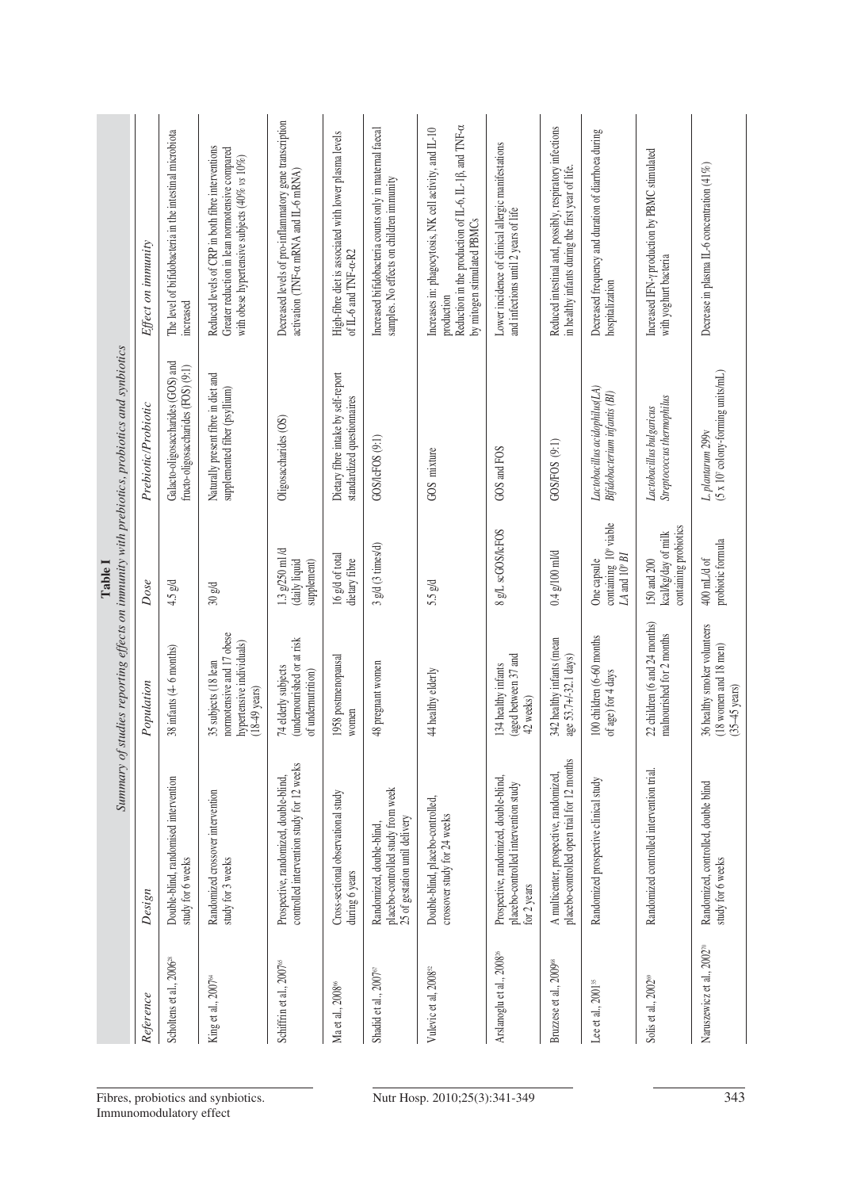|                                        |                                                                                                   |                                                                                                           | Table 1                                                                  | Summary of studies reporting effects on immunity with prebiotics, probiotics and synbiotics |                                                                                                                                                                                 |
|----------------------------------------|---------------------------------------------------------------------------------------------------|-----------------------------------------------------------------------------------------------------------|--------------------------------------------------------------------------|---------------------------------------------------------------------------------------------|---------------------------------------------------------------------------------------------------------------------------------------------------------------------------------|
| Reference                              | Design                                                                                            | Population                                                                                                | Dose                                                                     | Prebiotic/Probiotic                                                                         | Effect on immunity                                                                                                                                                              |
| Scholtens et al., 2006 <sup>28</sup>   | Double-blind, randomised intervention<br>study for 6 weeks                                        | 38 infants (4-6 months)                                                                                   | $4.5$ g/d                                                                | Galacto-oligosaccharides (GOS) and<br>fructo-oligosaccharides (FOS) (9:1)                   | The level of bifidobacteria in the intestinal microbiota<br>increased                                                                                                           |
| King et al., 2007 <sup>64</sup>        | Randomized crossover intervention<br>study for 3 weeks                                            | normotensive and 17 obese<br>hypertensive individuals)<br>35 subjects (18 lean<br>$(18-49 \text{ years})$ | $30$ g/d                                                                 | Naturally present fibre in diet and<br>supplemented fiber (psyllium)                        | Reduced levels of CRP in both fibre interventions<br>Greater reduction in lean normotensive compared<br>with obese hypertensive subjects $(40\% \text{ vs } 10\%)$              |
| Schiffrin et al., 2007 <sup>65</sup>   | controlled intervention study for 12 weeks<br>Prospective, randomized, double-blind,              | (undernourished or at risk<br>74 elderly subjects<br>of undernutrition)                                   | $1.3$ g/250 ml/d<br>(daily liquid<br>supplement)                         | Oligosaccharides (OS)                                                                       | Decreased levels of pro-inflammatory gene transcription<br>activation (TNF-a mRNA and IL-6 mRNA)                                                                                |
| Ma et al., 2008 <sup>66</sup>          | Cross-sectional observational study<br>during 6 years                                             | 1958 postmenopausal<br>women                                                                              | 16 g/d of total<br>dietary fibre                                         | Dietary fibre intake by self-report<br>standardized questionnaires                          | High-fibre diet is associated with lower plasma levels<br>of IL-6 and TNF-a-R2                                                                                                  |
| Shadid et al., 2007 <sup>67</sup>      | placebo-controlled study from week<br>25 of gestation until delivery<br>Randomized, double-blind, | 48 pregnant women                                                                                         | 3 g/d (3 times/d)                                                        | GOS/IcFOS (9:1)                                                                             | Increased bifidobacteria counts only in maternal faecal<br>samples. No effects on children immunity                                                                             |
| Vulevic et al, 2008 <sup>22</sup>      | Double-blind, placebo-controlled,<br>crossover study for 24 weeks                                 | 44 healthy elderly                                                                                        | 5.5 g/d                                                                  | GOS mixture                                                                                 | Reduction in the production of $IL-6$ , $IL-1\beta$ , and TNF- $\alpha$<br>Increases in: phagocytosis, NK cell activity, and IL-10<br>by mitogen stimulated PBMCs<br>production |
| Arslanoglu et al., 2008 <sup>26</sup>  | Prospective, randomized, double-blind,<br>placebo-controlled intervention study<br>for 2 years    | (aged between 37 and<br>134 healthy infants<br>42 weeks)                                                  | 8 g/L scGOS/lcFOS                                                        | GOS and FOS                                                                                 | Lower incidence of clinical allergic manifestations<br>and infections until 2 years of life                                                                                     |
| Bruzzese et al., 2009 <sup>68</sup>    | placebo-controlled open trial for 12 months<br>A multicenter, prospective, randomized,            | 342 healthy infants (mean<br>age 53.7+/-32.1 days)                                                        | $0.4$ g/100 ml/d                                                         | GOS/FOS (9:1)                                                                               | Reduced intestinal and, possibly, respiratory infections<br>in healthy infants during the first year of life.                                                                   |
| Lee et al., 2001 <sup>35</sup>         | Randomized prospective clinical study                                                             | 100 children (6-60 months<br>of age) for 4 days                                                           | containing 10 <sup>9</sup> viable<br>$LA$ and $10^9$ $BI$<br>One capsule | Lactobacillus acidophilus(LA)<br>Bifidobacterium infantis (BI)                              | Decreased frequency and duration of diarrhoea during<br>hospitalization                                                                                                         |
| Solis et al., 2002 <sup>69</sup>       | Randomized controlled intervention trial.                                                         | 22 children (6 and 24 months)<br>malnourished for 2 months                                                | containing probiotics<br>kcal/kg/day of milk<br>150 and 200              | Streptococcus thermophilus<br>Lactobacillus bulgaricus                                      | Increased IFN-y production by PBMC stimulated<br>with yoghurt bacteria                                                                                                          |
| Naruszewicz et al., 2002 <sup>70</sup> | Randomized, controlled, double blind<br>study for 6 weeks                                         | 36 healthy smoker volunteers<br>$(18$ women and $18$ men)<br>$(35-45 \text{ years})$                      | probiotic formula<br>400 mL/d of                                         | $(5 \times 10^{\circ}$ colony-forming units/mL)<br>L. plantarum 299v                        | Decrease in plasma IL-6 concentration (41%)                                                                                                                                     |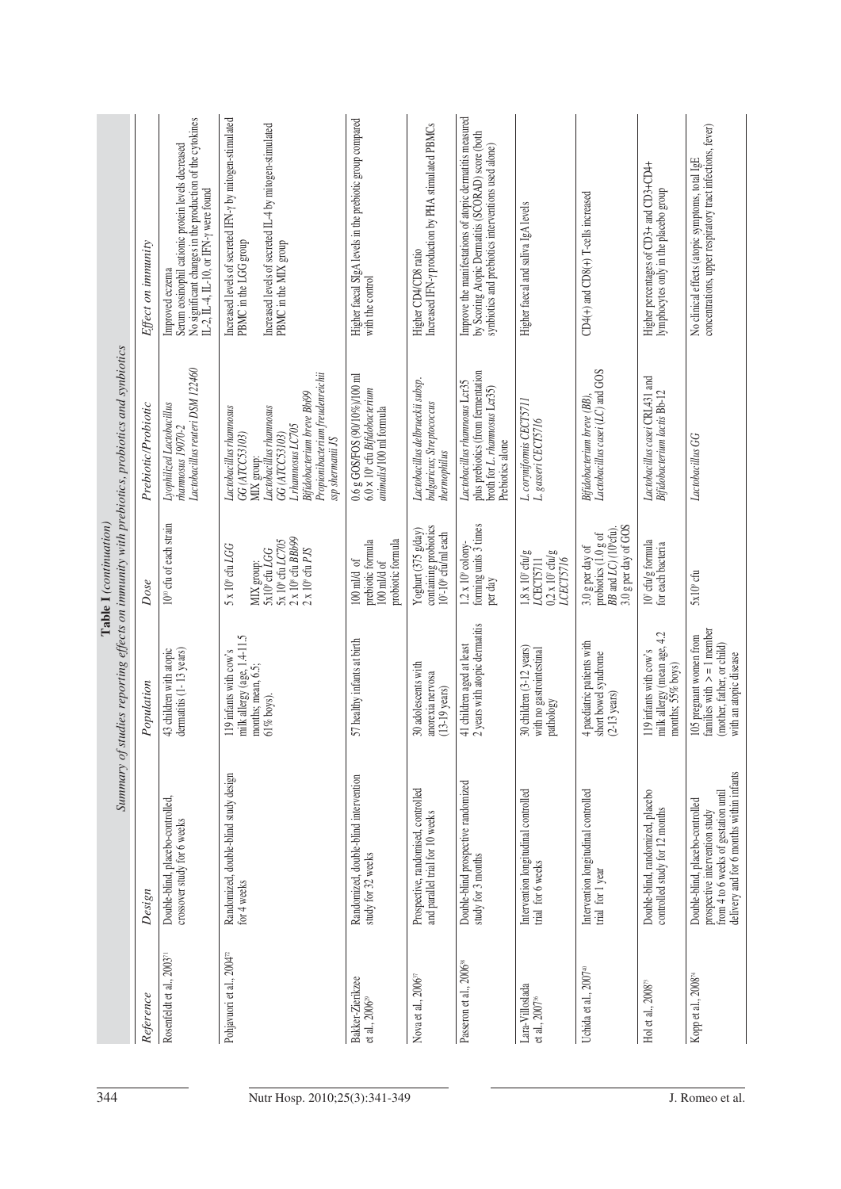| studies reporting effects on immunity with prebiotics, probiotics and synbiotics | Effect on immunity<br>Prebiotic/Probiotic | No significant changes in the production of the cytokines<br>Serum eosinophil cationic protein levels decreased<br>IL-2, $\overline{\text{IL-4}}$ , $\overline{\text{IL-10}}$ , or IFN- $\gamma$ were found<br>Improved eczema<br>Lactobacillus reuteri DSM 122460<br>Lyophilized Lactobacillus<br>rhamnosus 19070-2<br>10 <sup>10</sup> cfu of each strain | Increased levels of secreted IFN-y by mitogen-stimulated<br>Increased levels of secreted IL-4 by mitogen-stimulated<br>PBMC in the LGG group<br>PBMC in the MIX group<br>Propionibacterium freudenreichii<br>ssp shermanii JS<br>Bifidobacterium breve Bbi99<br>Lactobacillus rhamnosus<br>Lactobacillus rhamnosus<br>L rhamnosus LC705<br>GG (ATCC53103)<br>GG (ATCC53103)<br>MIX group: | Higher faecal SIgA levels in the prebiotic group compared<br>with the control<br>0.6 g GOS/FOS (90/10%)/100 ml<br>6.0 x 10° cfu Bifidobacterium<br>animalis/100 ml formula | Increased IFN-y production by PHA stimulated PBMCs<br>Higher CD4/CD8 ratio<br>Lactobacillus delbrueckii subsp.<br>bulgaricus; Streptococcus<br>thermophilus<br>containing probiotics<br>Yoghurt (375 g/day)<br>10 <sup>7</sup> -10 <sup>8</sup> cfu/ml each | Improve the manifestations of atopic dermatitis measured<br>by Scoring Atopic Dermatitis (SCORAD) score (both<br>synbiotics and prebiotics interventions used alone)<br>plus prebiotics (from fermentation<br>Lactobacillus rhamnosus Lcr35<br>broth for L. rhamnosus Lcr35)<br>Prebiotics alone<br>forming units 3 times | Higher faecal and saliva IgA levels<br>L. coryniformis CECT5711<br>L. gasseri CECT5716                                                                                 | $CD4(+)$ and $CD8(+)$ T-cells increased<br>Lactobacillus casei (LC) and GOS<br>Bifidobacterium breve (BB),<br>3.0 g per day of GOS<br>BB and LC) (10°cfu) | Higher percentages of CD3+ and CD3+CD4+<br>lymphocytes only in the placebo group<br>Lactobacillus casei CRL431 and<br>Bifidobacterium lactis Bb-12 | concentrations, upper respiratory tract infections, fever)<br>No clinical effects (atopic symptoms, total IgE<br>Lactobacillus GG                      |
|----------------------------------------------------------------------------------|-------------------------------------------|-------------------------------------------------------------------------------------------------------------------------------------------------------------------------------------------------------------------------------------------------------------------------------------------------------------------------------------------------------------|-------------------------------------------------------------------------------------------------------------------------------------------------------------------------------------------------------------------------------------------------------------------------------------------------------------------------------------------------------------------------------------------|----------------------------------------------------------------------------------------------------------------------------------------------------------------------------|-------------------------------------------------------------------------------------------------------------------------------------------------------------------------------------------------------------------------------------------------------------|---------------------------------------------------------------------------------------------------------------------------------------------------------------------------------------------------------------------------------------------------------------------------------------------------------------------------|------------------------------------------------------------------------------------------------------------------------------------------------------------------------|-----------------------------------------------------------------------------------------------------------------------------------------------------------|----------------------------------------------------------------------------------------------------------------------------------------------------|--------------------------------------------------------------------------------------------------------------------------------------------------------|
| Table I (continuation)                                                           | Dose<br>Population                        | 43 children with atopic<br>dermatitis (1-13 years)                                                                                                                                                                                                                                                                                                          | $2 \times 10^{\circ}$ cfu $BBb99$ $2 \times 10^{\circ}$ cfu $PJS$<br>5x 10° cfu LC705<br>$5 \times 10^9$ cfu $LGG$<br>MIX group:<br>5x10° cfu LGG<br>milk allergy (age, 1.4-11.5<br>119 infants with cow's<br>months; mean, 6.5;<br>$61\%$ boys).                                                                                                                                         | probiotic formula<br>prebiotic formula<br>100 ml/d of<br>100 ml/d of<br>57 healthy infants at birth                                                                        | 30 adolescents with<br>anorexia nervosa<br>$(13-19$ years)                                                                                                                                                                                                  | $1.2 \times 10^9$ colony-<br>per day<br>2 years with atopic dermatitis<br>41 children aged at least                                                                                                                                                                                                                       | $0.2 \times 10$ <sup>2</sup> cfu/g<br>$1,8 \times 10^7$ cfu/g<br>LCECT5716<br>LCECT5711<br>30 children $(3-12 \text{ years})$<br>with no gastrointestinal<br>pathology | probiotics (1.0 g of<br>3.0 g per day of<br>4 paediatric patients with<br>short bowel syndrome<br>$(2-13 \text{ years})$                                  | 10 <sup>'</sup> cfu/g formula<br>for each bacteria<br>milk allergy (mean age, 4.2<br>months; 55% boys)<br>119 infants with cow's                   | $5x10^\circ$ cfu<br>families with $> = 1$ member<br>105 pregnant women from<br>(mother, father, or child)<br>with an atopic disease                    |
| fo <i>kumung</i><br>P                                                            | Design                                    | Double-blind, placebo-controlled,<br>crossover study for 6 weeks                                                                                                                                                                                                                                                                                            | Randomized, double-blind study design<br>for 4 weeks                                                                                                                                                                                                                                                                                                                                      | Randomized, double-blind intervention<br>study for 32 weeks                                                                                                                | Prospective, randomised, controlled<br>and parallel trial for 10 weeks                                                                                                                                                                                      | Double-blind prospective randomized<br>study for 3 months                                                                                                                                                                                                                                                                 | Intervention longitudinal controlled<br>trial for 6 weeks                                                                                                              | Intervention longitudinal controlled<br>trial for 1 year                                                                                                  | Double-blind, randomized, placebo<br>controlled study for 12 months                                                                                | delivery and for 6 months within infants<br>from 4 to 6 weeks of gestation until<br>Double-blind, placebo-controlled<br>prospective intervention study |
|                                                                                  | Reference                                 | Rosenfeldt et al., 2003 <sup>71</sup>                                                                                                                                                                                                                                                                                                                       | Pohjavuori et al., 2004 <sup>72</sup>                                                                                                                                                                                                                                                                                                                                                     | Bakker-Zierikzee<br>et al., $2006^{\circ}$                                                                                                                                 | Nova et al., 2006 <sup>37</sup>                                                                                                                                                                                                                             | Passeron et al., 2006 <sup>58</sup>                                                                                                                                                                                                                                                                                       | Lara-Villoslada<br>et al., $2007*$                                                                                                                                     | Uchida et al., 2007 <sup>40</sup>                                                                                                                         | Hol et al., 2008 <sup>72</sup>                                                                                                                     | Kopp et al., 2008 <sup>74</sup>                                                                                                                        |
| 344                                                                              |                                           |                                                                                                                                                                                                                                                                                                                                                             | Nutr Hosp. 2010;25(3):341-349                                                                                                                                                                                                                                                                                                                                                             |                                                                                                                                                                            |                                                                                                                                                                                                                                                             |                                                                                                                                                                                                                                                                                                                           |                                                                                                                                                                        |                                                                                                                                                           |                                                                                                                                                    | J. Romeo et al.                                                                                                                                        |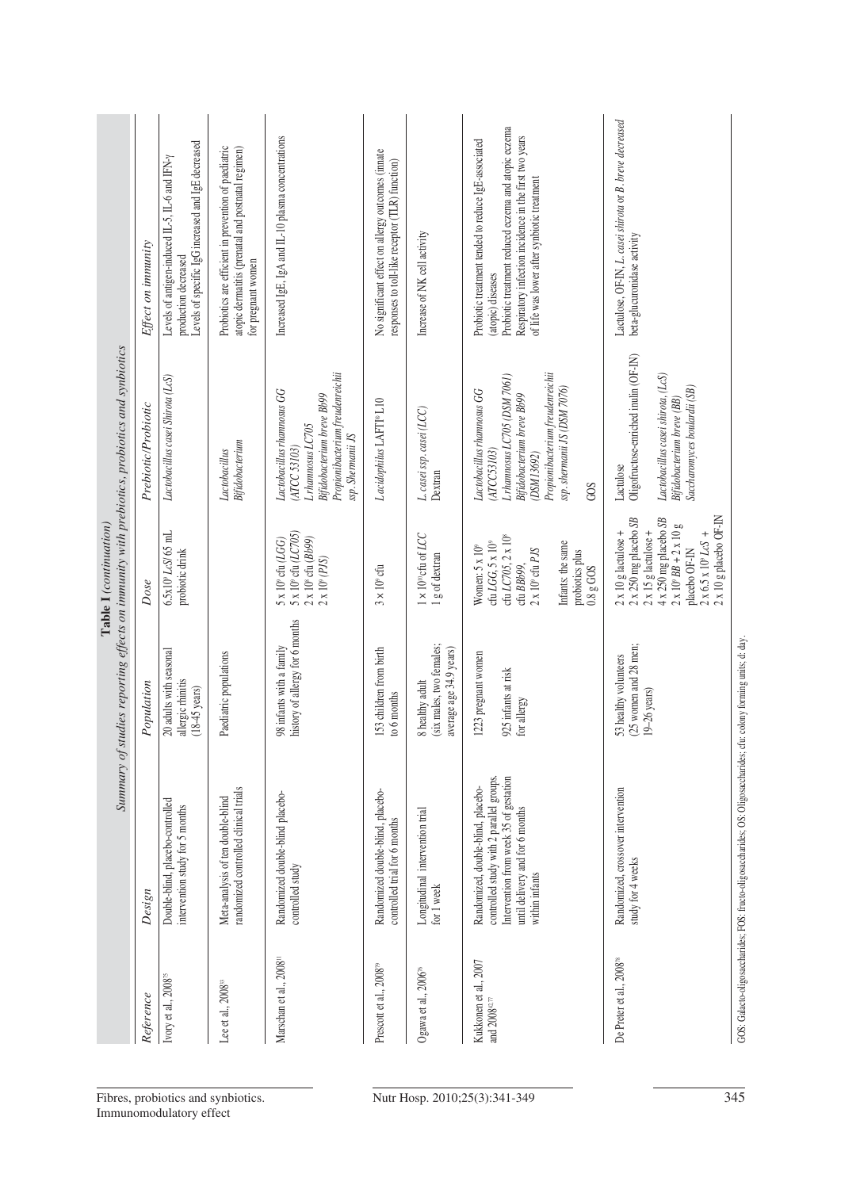| Intervention from week 35 of gestation<br>controlled study with 2 parallel groups.<br>randomized controlled clinical trials<br>Randomized, double-blind, placebo-<br>Randomized, crossover intervention<br>Randomized double-blind, placebo-<br>Randomized double-blind placebo-<br>Meta-analysis of ten double-blind<br>Double-blind, placebo-controlled<br>intervention study for 5 months<br>until delivery and for 6 months<br>Longitudinal intervention trial<br>controlled trial for 6 months<br>study for 4 weeks<br>controlled study<br>within infants<br>for 1 week<br>Design |
|----------------------------------------------------------------------------------------------------------------------------------------------------------------------------------------------------------------------------------------------------------------------------------------------------------------------------------------------------------------------------------------------------------------------------------------------------------------------------------------------------------------------------------------------------------------------------------------|
|----------------------------------------------------------------------------------------------------------------------------------------------------------------------------------------------------------------------------------------------------------------------------------------------------------------------------------------------------------------------------------------------------------------------------------------------------------------------------------------------------------------------------------------------------------------------------------------|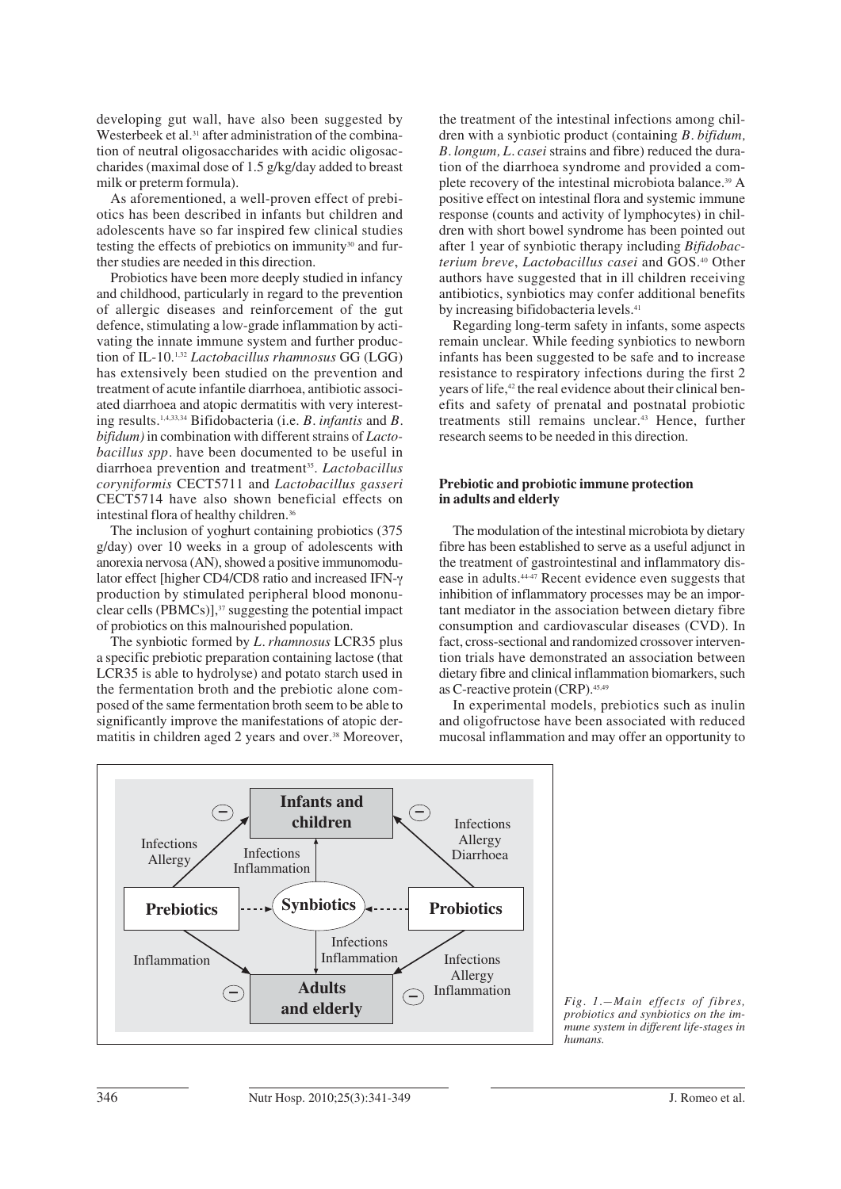developing gut wall, have also been suggested by Westerbeek et al.<sup>31</sup> after administration of the combination of neutral oligosaccharides with acidic oligosaccharides (maximal dose of 1.5 g/kg/day added to breast milk or preterm formula).

As aforementioned, a well-proven effect of prebiotics has been described in infants but children and adolescents have so far inspired few clinical studies testing the effects of prebiotics on immunity<sup>30</sup> and further studies are needed in this direction.

Probiotics have been more deeply studied in infancy and childhood, particularly in regard to the prevention of allergic diseases and reinforcement of the gut defence, stimulating a low-grade inflammation by activating the innate immune system and further production of IL-10.1,32 *Lactobacillus rhamnosus* GG (LGG) has extensively been studied on the prevention and treatment of acute infantile diarrhoea, antibiotic associated diarrhoea and atopic dermatitis with very interesting results.1,4,33,34 Bifidobacteria (i.e. *B. infantis* and *B. bifidum)* in combination with different strains of *Lactobacillus spp.* have been documented to be useful in diarrhoea prevention and treatment<sup>35</sup>. *Lactobacillus coryniformis* CECT5711 and *Lactobacillus gasseri* CECT5714 have also shown beneficial effects on intestinal flora of healthy children.36

The inclusion of yoghurt containing probiotics (375 g/day) over 10 weeks in a group of adolescents with anorexia nervosa (AN), showed a positive immunomodulator effect [higher CD4/CD8 ratio and increased IFN-γ production by stimulated peripheral blood mononuclear cells (PBMCs)], $37$  suggesting the potential impact of probiotics on this malnourished population.

The synbiotic formed by *L. rhamnosus* LCR35 plus a specific prebiotic preparation containing lactose (that LCR35 is able to hydrolyse) and potato starch used in the fermentation broth and the prebiotic alone composed of the same fermentation broth seem to be able to significantly improve the manifestations of atopic dermatitis in children aged 2 years and over.<sup>38</sup> Moreover, the treatment of the intestinal infections among children with a synbiotic product (containing *B. bifidum, B. longum, L. casei* strains and fibre) reduced the duration of the diarrhoea syndrome and provided a complete recovery of the intestinal microbiota balance.39 A positive effect on intestinal flora and systemic immune response (counts and activity of lymphocytes) in children with short bowel syndrome has been pointed out after 1 year of synbiotic therapy including *Bifidobacterium breve*, *Lactobacillus casei* and GOS.40 Other authors have suggested that in ill children receiving antibiotics, synbiotics may confer additional benefits by increasing bifidobacteria levels.<sup>41</sup>

Regarding long-term safety in infants, some aspects remain unclear. While feeding synbiotics to newborn infants has been suggested to be safe and to increase resistance to respiratory infections during the first 2 years of life,<sup>42</sup> the real evidence about their clinical benefits and safety of prenatal and postnatal probiotic treatments still remains unclear.43 Hence, further research seems to be needed in this direction.

## **Prebiotic and probiotic immune protection in adults and elderly**

The modulation of the intestinal microbiota by dietary fibre has been established to serve as a useful adjunct in the treatment of gastrointestinal and inflammatory disease in adults.44-47 Recent evidence even suggests that inhibition of inflammatory processes may be an important mediator in the association between dietary fibre consumption and cardiovascular diseases (CVD). In fact, cross-sectional and randomized crossover intervention trials have demonstrated an association between dietary fibre and clinical inflammation biomarkers, such as C-reactive protein (CRP).45,49

In experimental models, prebiotics such as inulin and oligofructose have been associated with reduced mucosal inflammation and may offer an opportunity to



*Fig. 1.—Main effects of fibres, probio tics and synbiotics on the immune system in different life-stages in humans.*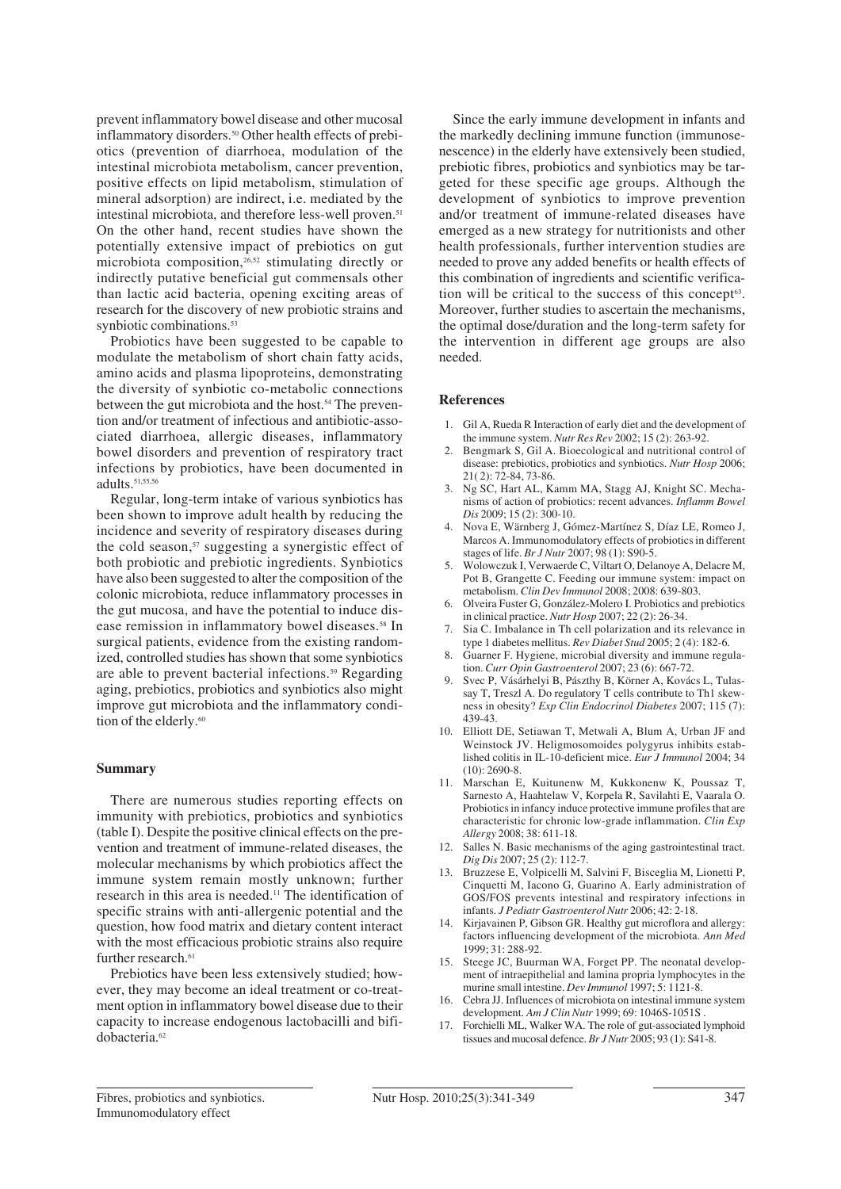prevent inflammatory bowel disease and other mucosal inflammatory disorders.<sup>50</sup> Other health effects of prebiotics (prevention of diarrhoea, modulation of the intestinal microbiota metabolism, cancer prevention, positive effects on lipid metabolism, stimulation of mineral adsorption) are indirect, i.e. mediated by the intestinal microbiota, and therefore less-well proven.<sup>51</sup> On the other hand, recent studies have shown the potentially extensive impact of prebiotics on gut microbiota composition,26,52 stimulating directly or indirectly putative beneficial gut commensals other than lactic acid bacteria, opening exciting areas of research for the discovery of new probiotic strains and synbiotic combinations.<sup>53</sup>

Probiotics have been suggested to be capable to modulate the metabolism of short chain fatty acids, amino acids and plasma lipoproteins, demonstrating the diversity of synbiotic co-metabolic connections between the gut microbiota and the host.<sup>54</sup> The prevention and/or treatment of infectious and antibiotic-associated diarrhoea, allergic diseases, inflammatory bowel disorders and prevention of respiratory tract infections by probiotics, have been documented in adults.<sup>51,55,56</sup>

Regular, long-term intake of various synbiotics has been shown to improve adult health by reducing the incidence and severity of respiratory diseases during the cold season,<sup>57</sup> suggesting a synergistic effect of both probiotic and prebiotic ingredients. Synbiotics have also been suggested to alter the composition of the colonic microbiota, reduce inflammatory processes in the gut mucosa, and have the potential to induce disease remission in inflammatory bowel diseases.<sup>58</sup> In surgical patients, evidence from the existing randomized, controlled studies has shown that some synbiotics are able to prevent bacterial infections.59 Regarding aging, prebiotics, probiotics and synbiotics also might improve gut microbiota and the inflammatory condition of the elderly.<sup>60</sup>

## **Summary**

There are numerous studies reporting effects on immunity with prebiotics, probiotics and synbiotics (table I). Despite the positive clinical effects on the prevention and treatment of immune-related diseases, the molecular mechanisms by which probiotics affect the immune system remain mostly unknown; further research in this area is needed.11 The identification of specific strains with anti-allergenic potential and the question, how food matrix and dietary content interact with the most efficacious probiotic strains also require further research.<sup>61</sup>

Prebiotics have been less extensively studied; however, they may become an ideal treatment or co-treatment option in inflammatory bowel disease due to their capacity to increase endogenous lactobacilli and bifidobacteria.62

Since the early immune development in infants and the markedly declining immune function (immunosenescence) in the elderly have extensively been studied, prebiotic fibres, probiotics and synbiotics may be targeted for these specific age groups. Although the development of synbiotics to improve prevention and/or treatment of immune-related diseases have emerged as a new strategy for nutritionists and other health professionals, further intervention studies are needed to prove any added benefits or health effects of this combination of ingredients and scientific verification will be critical to the success of this concept<sup>63</sup>. Moreover, further studies to ascertain the mechanisms, the optimal dose/duration and the long-term safety for the intervention in different age groups are also needed.

#### **References**

- 1. Gil A, Rueda R Interaction of early diet and the development of the immune system. *Nutr Res Rev* 2002; 15 (2): 263-92.
- 2. Bengmark S, Gil A. Bioecological and nutritional control of disease: prebiotics, probiotics and synbiotics. *Nutr Hosp* 2006; 21( 2): 72-84, 73-86.
- 3. Ng SC, Hart AL, Kamm MA, Stagg AJ, Knight SC. Mechanisms of action of probiotics: recent advances. *Inflamm Bowel Dis* 2009; 15 (2): 300-10.
- 4. Nova E, Wärnberg J, Gómez-Martínez S, Díaz LE, Romeo J, Marcos A. Immunomodulatory effects of probiotics in different stages of life. *Br J Nutr* 2007; 98 (1): S90-5.
- 5. Wolowczuk I, Verwaerde C, Viltart O, Delanoye A, Delacre M, Pot B, Grangette C. Feeding our immune system: impact on metabolism. *Clin Dev Immunol* 2008; 2008: 639-803.
- 6. Olveira Fuster G, González-Molero I. Probiotics and prebiotics in clinical practice. *Nutr Hosp* 2007; 22 (2): 26-34.
- 7. Sia C. Imbalance in Th cell polarization and its relevance in type 1 diabetes mellitus. *Rev Diabet Stud* 2005; 2 (4): 182-6.
- 8. Guarner F. Hygiene, microbial diversity and immune regulation. *Curr Opin Gastroenterol* 2007; 23 (6): 667-72.
- 9. Svec P, Vásárhelyi B, Pászthy B, Körner A, Kovács L, Tulassay T, Treszl A. Do regulatory T cells contribute to Th1 skewness in obesity? *Exp Clin Endocrinol Diabetes* 2007; 115 (7): 439-43.
- 10. Elliott DE, Setiawan T, Metwali A, Blum A, Urban JF and Weinstock JV. Heligmosomoides polygyrus inhibits established colitis in IL-10-deficient mice. *Eur J Immunol* 2004; 34  $(10): 2690-8.$
- 11. Marschan E, Kuitunenw M, Kukkonenw K, Poussaz T, Sarnesto A, Haahtelaw V, Korpela R, Savilahti E, Vaarala O. Probiotics in infancy induce protective immune profiles that are characteristic for chronic low-grade inflammation. *Clin Exp Allergy* 2008; 38: 611-18.
- 12. Salles N. Basic mechanisms of the aging gastrointestinal tract. *Dig Dis* 2007; 25 (2): 112-7.
- 13. Bruzzese E, Volpicelli M, Salvini F, Bisceglia M, Lionetti P, Cinquetti M, Iacono G, Guarino A. Early administration of GOS/FOS prevents intestinal and respiratory infections in infants. *J Pediatr Gastroenterol Nutr* 2006; 42: 2-18.
- 14. Kirjavainen P, Gibson GR. Healthy gut microflora and allergy: factors influencing development of the microbiota. *Ann Med* 1999; 31: 288-92.
- 15. Steege JC, Buurman WA, Forget PP. The neonatal development of intraepithelial and lamina propria lymphocytes in the murine small intestine. *Dev Immunol* 1997; 5: 1121-8.
- 16. Cebra JJ. Influences of microbiota on intestinal immune system development. *Am J Clin Nutr* 1999; 69: 1046S-1051S .
- 17. Forchielli ML, Walker WA. The role of gut-associated lymphoid tissues and mucosal defence. *Br J Nutr* 2005; 93 (1): S41-8.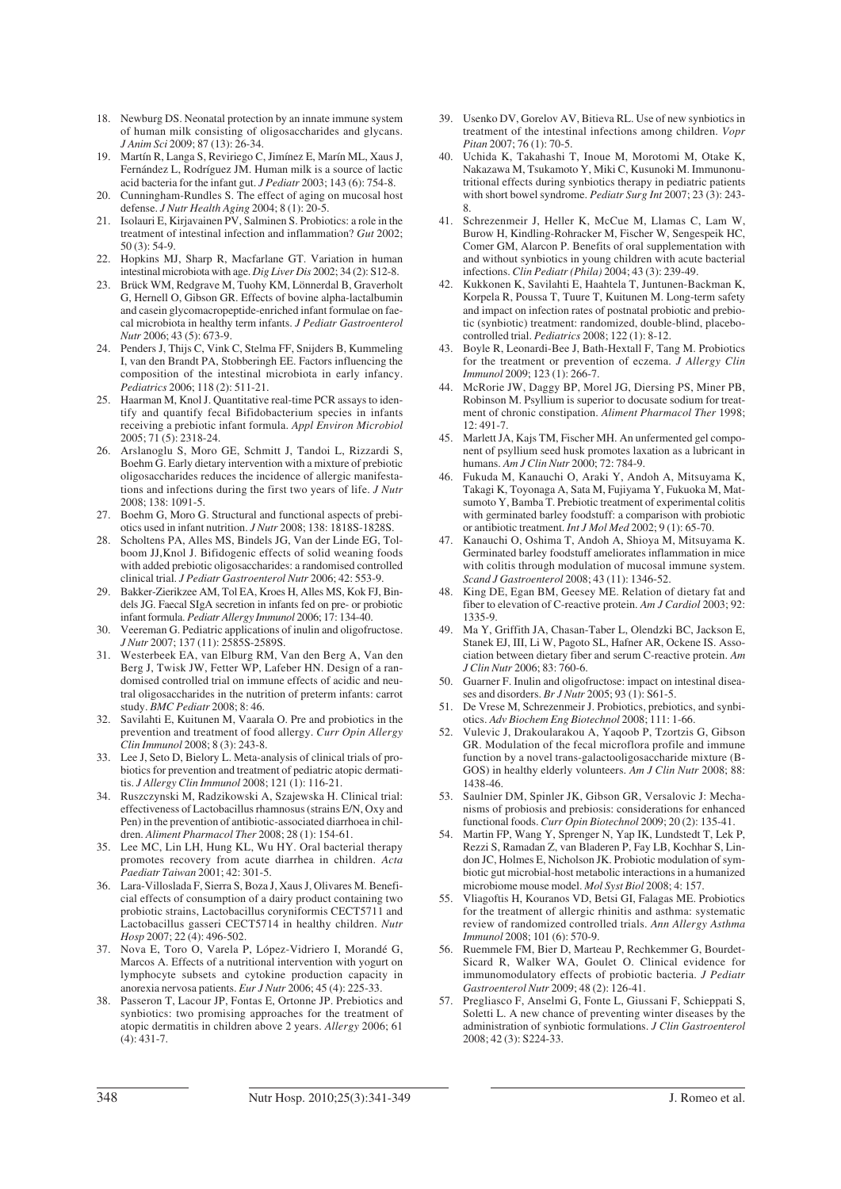- 18. Newburg DS. Neonatal protection by an innate immune system of human milk consisting of oligosaccharides and glycans. *J Anim Sci* 2009; 87 (13): 26-34.
- 19. Martín R, Langa S, Reviriego C, Jimínez E, Marín ML, Xaus J, Fernández L, Rodríguez JM. Human milk is a source of lactic acid bacteria for the infant gut. *J Pediatr* 2003; 143 (6): 754-8.
- 20. Cunningham-Rundles S. The effect of aging on mucosal host defense. *J Nutr Health Aging* 2004; 8 (1): 20-5.
- 21. Isolauri E, Kirjavainen PV, Salminen S. Probiotics: a role in the treatment of intestinal infection and inflammation? *Gut* 2002;  $50(3)$ : 54-9
- 22. Hopkins MJ, Sharp R, Macfarlane GT. Variation in human intestinal microbiota with age. *Dig Liver Dis* 2002; 34 (2): S12-8.
- 23. Brück WM, Redgrave M, Tuohy KM, Lönnerdal B, Graverholt G, Hernell O, Gibson GR. Effects of bovine alpha-lactalbumin and casein glycomacropeptide-enriched infant formulae on faecal microbiota in healthy term infants. *J Pediatr Gastroenterol Nutr* 2006; 43 (5): 673-9.
- 24. Penders J, Thijs C, Vink C, Stelma FF, Snijders B, Kummeling I, van den Brandt PA, Stobberingh EE. Factors influencing the composition of the intestinal microbiota in early infancy. *Pedia trics* 2006; 118 (2): 511-21.
- 25. Haarman M, Knol J. Quantitative real-time PCR assays to identify and quantify fecal Bifidobacterium species in infants receiving a prebiotic infant formula. *Appl Environ Microbiol* 2005; 71 (5): 2318-24.
- 26. Arslanoglu S, Moro GE, Schmitt J, Tandoi L, Rizzardi S, Boehm G. Early dietary intervention with a mixture of prebiotic oligosaccharides reduces the incidence of allergic manifestations and infections during the first two years of life. *J Nutr* 2008; 138: 1091-5.
- 27. Boehm G, Moro G. Structural and functional aspects of prebiotics used in infant nutrition. *J Nutr* 2008; 138: 1818S-1828S.
- 28. Scholtens PA, Alles MS, Bindels JG, Van der Linde EG, Tolboom JJ,Knol J. Bifidogenic effects of solid weaning foods with added prebiotic oligosaccharides: a randomised controlled clinical trial. *J Pediatr Gastroenterol Nutr* 2006; 42: 553-9.
- 29. Bakker-Zierikzee AM, Tol EA, Kroes H, Alles MS, Kok FJ, Bindels JG. Faecal SIgA secretion in infants fed on pre- or probiotic infant formula. *Pediatr Allergy Immunol* 2006; 17: 134-40.
- 30. Veereman G. Pediatric applications of inulin and oligofructose. *J Nutr* 2007; 137 (11): 2585S-2589S.
- 31. Westerbeek EA, van Elburg RM, Van den Berg A, Van den Berg J, Twisk JW, Fetter WP, Lafeber HN. Design of a randomised controlled trial on immune effects of acidic and neutral oligosaccharides in the nutrition of preterm infants: carrot study. *BMC Pediatr* 2008; 8: 46.
- 32. Savilahti E, Kuitunen M, Vaarala O. Pre and probiotics in the prevention and treatment of food allergy. *Curr Opin Allergy Clin Immunol* 2008; 8 (3): 243-8.
- 33. Lee J, Seto D, Bielory L. Meta-analysis of clinical trials of probiotics for prevention and treatment of pediatric atopic dermatitis. *J Allergy Clin Immunol* 2008; 121 (1): 116-21.
- 34. Ruszczynski M, Radzikowski A, Szajewska H. Clinical trial: effectiveness of Lactobacillus rhamnosus (strains E/N, Oxy and Pen) in the prevention of antibiotic-associated diarrhoea in children. *Aliment Pharmacol Ther* 2008; 28 (1): 154-61.
- 35. Lee MC, Lin LH, Hung KL, Wu HY. Oral bacterial therapy promotes recovery from acute diarrhea in children. *Acta Paedia tr Taiwan* 2001; 42: 301-5.
- 36. Lara-Villoslada F, Sierra S, Boza J, Xaus J, Olivares M. Beneficial effects of consumption of a dairy product containing two probiotic strains, Lactobacillus coryniformis CECT5711 and Lactobacillus gasseri CECT5714 in healthy children. *Nutr Hosp* 2007; 22 (4): 496-502.
- 37. Nova E, Toro O, Varela P, López-Vidriero I, Morandé G, Marcos A. Effects of a nutritional intervention with yogurt on lymphocyte subsets and cytokine production capacity in anorexia nervosa patients. *Eur J Nutr* 2006; 45 (4): 225-33.
- 38. Passeron T, Lacour JP, Fontas E, Ortonne JP. Prebiotics and synbiotics: two promising approaches for the treatment of atopic dermatitis in children above 2 years. *Allergy* 2006; 61 (4): 431-7.
- 39. Usenko DV, Gorelov AV, Bitieva RL. Use of new synbiotics in treatment of the intestinal infections among children. *Vopr Pitan* 2007; 76 (1): 70-5.
- 40. Uchida K, Takahashi T, Inoue M, Morotomi M, Otake K, Nakazawa M, Tsukamoto Y, Miki C, Kusunoki M. Immunonutritional effects during synbiotics therapy in pediatric patients with short bowel syndrome. *Pediatr Surg Int* 2007; 23 (3): 243- 8.
- 41. Schrezenmeir J, Heller K, McCue M, Llamas C, Lam W, Burow H, Kindling-Rohracker M, Fischer W, Sengespeik HC, Comer GM, Alarcon P. Benefits of oral supplementation with and without synbiotics in young children with acute bacterial infections. *Clin Pediatr (Phila)* 2004; 43 (3): 239-49.
- 42. Kukkonen K, Savilahti E, Haahtela T, Juntunen-Backman K, Korpela R, Poussa T, Tuure T, Kuitunen M. Long-term safety and impact on infection rates of postnatal probiotic and prebio tic (synbiotic) treatment: randomized, double-blind, placebocontrolled trial. *Pediatrics* 2008; 122 (1): 8-12.
- 43. Boyle R, Leonardi-Bee J, Bath-Hextall F, Tang M. Probiotics for the treatment or prevention of eczema. *J Allergy Clin Immunol* 2009; 123 (1): 266-7.
- 44. McRorie JW, Daggy BP, Morel JG, Diersing PS, Miner PB, Robinson M. Psyllium is superior to docusate sodium for treatment of chronic constipation. *Aliment Pharmacol Ther* 1998;  $12:491-7$ .
- 45. Marlett JA, Kajs TM, Fischer MH. An unfermented gel component of psyllium seed husk promotes laxation as a lubricant in humans. *Am J Clin Nutr* 2000; 72: 784-9.
- 46. Fukuda M, Kanauchi O, Araki Y, Andoh A, Mitsuyama K, Takagi K, Toyonaga A, Sata M, Fujiyama Y, Fukuoka M, Matsumoto Y, Bamba T. Prebiotic treatment of experimental colitis with germinated barley foodstuff: a comparison with probiotic or antibiotic treatment. *Int J Mol Med* 2002; 9 (1): 65-70.
- 47. Kanauchi O, Oshima T, Andoh A, Shioya M, Mitsuyama K. Germinated barley foodstuff ameliorates inflammation in mice with colitis through modulation of mucosal immune system. *Scand J Gastroenterol* 2008; 43 (11): 1346-52.
- 48. King DE, Egan BM, Geesey ME. Relation of dietary fat and fiber to elevation of C-reactive protein. *Am J Cardiol* 2003; 92: 1335-9.
- 49. Ma Y, Griffith JA, Chasan-Taber L, Olendzki BC, Jackson E, Stanek EJ, III, Li W, Pagoto SL, Hafner AR, Ockene IS. Association between dietary fiber and serum C-reactive protein. *Am J Clin Nutr* 2006; 83: 760-6.
- 50. Guarner F. Inulin and oligofructose: impact on intestinal disea ses and disorders. *Br J Nutr* 2005; 93 (1): S61-5.
- 51. De Vrese M, Schrezenmeir J. Probiotics, prebiotics, and synbiotics. *Adv Biochem Eng Biotechnol* 2008; 111: 1-66.
- 52. Vulevic J, Drakoularakou A, Yaqoob P, Tzortzis G, Gibson GR. Modulation of the fecal microflora profile and immune function by a novel trans-galactooligosaccharide mixture (B-GOS) in healthy elderly volunteers. *Am J Clin Nutr* 2008; 88: 1438-46.
- 53. Saulnier DM, Spinler JK, Gibson GR, Versalovic J: Mechanisms of probiosis and prebiosis: considerations for enhanced functional foods. *Curr Opin Biotechnol* 2009; 20 (2): 135-41.
- 54. Martin FP, Wang Y, Sprenger N, Yap IK, Lundstedt T, Lek P, Rezzi S, Ramadan Z, van Bladeren P, Fay LB, Kochhar S, Lindon JC, Holmes E, Nicholson JK. Probiotic modulation of symbiotic gut microbial-host metabolic interactions in a humanized microbiome mouse model. *Mol Syst Biol* 2008; 4: 157.
- 55. Vliagoftis H, Kouranos VD, Betsi GI, Falagas ME. Probiotics for the treatment of allergic rhinitis and asthma: systematic review of randomized controlled trials. *Ann Allergy Asthma Immunol* 2008; 101 (6): 570-9.
- 56. Ruemmele FM, Bier D, Marteau P, Rechkemmer G, Bourdet-Sicard R, Walker WA, Goulet O. Clinical evidence for immunomodulatory effects of probiotic bacteria. *J Pediatr Gastroenterol Nutr* 2009; 48 (2): 126-41.
- 57. Pregliasco F, Anselmi G, Fonte L, Giussani F, Schieppati S, Soletti L. A new chance of preventing winter diseases by the administration of synbiotic formulations. *J Clin Gastroenterol* 2008; 42 (3): S224-33.